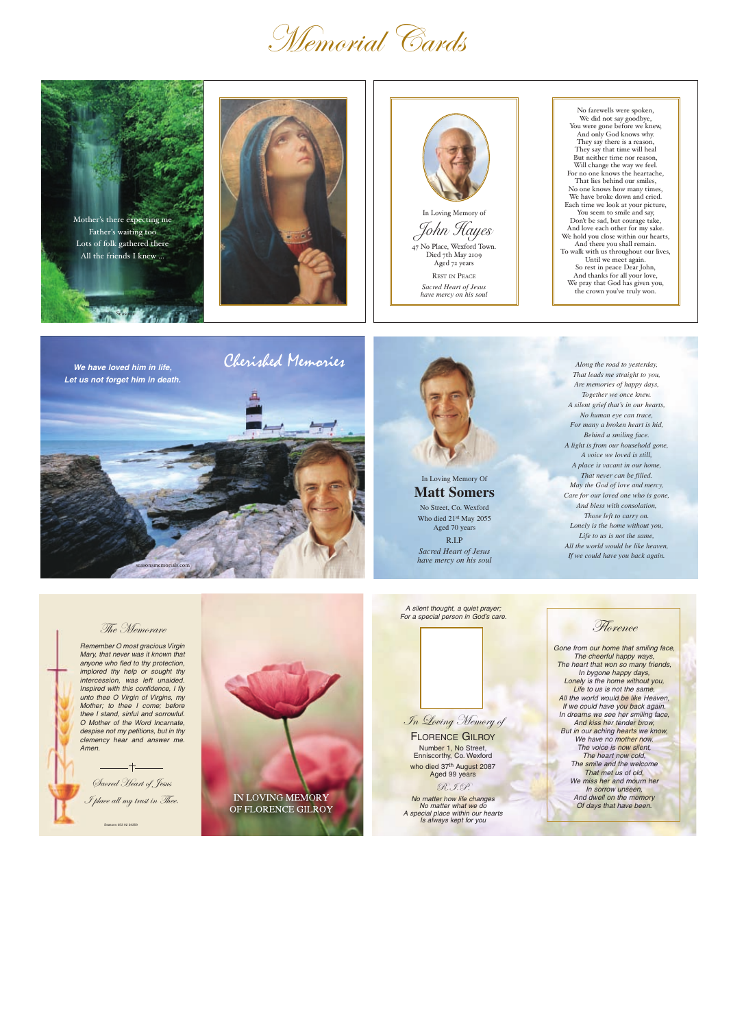## Memorial Cards

© Seasons Mother's there expecting me Father's waiting too Lots of folk gathered there All the friends I knew ...





John Hayes 47 No Place, Wexford Town. Died 7th May 2109 Aged 72 years

REST IN PEACE *Sacred Heart of Jesus have mercy on his soul*

No farewells were spoken, We did not say goodbye, You were gone before we knew, And only God knows why. They say there is a reason, They say that time will heal But neither time nor reason, Will change the way we feel. For no one knows the heartache, That lies behind our smiles, No one knows how many times, We have broke down and cried. Each time we look at your picture, You seem to smile and say, Don't be sad, but courage take, And love each other for my sake. We hold you close within our hearts, And there you shall remain. To walk with us throughout our lives, Until we meet again. So rest in peace Dear John, And thanks for all your love, We pray that God has given you, the crown you've truly won.

## In Loving Memory Of **Matt Somers**

No Street, Co. Wexford Who died 21st May 2055 Aged 70 years

R.I.P *Sacred Heart of Jesus have mercy on his soul*

who died 37th August 2087 Aged 99 years

Gone from our home that smiling face, The cheerful happy ways, The heart that won so many friends, In bygone happy days, Lonely is the home without you, Life to us is not the same, All the world would be like Heaven, If we could have you back again. In dreams we see her smiling face, And kiss her tender brow,

*Along the road to yesterday, That leads me straight to you, Are memories of happy days, Together we once knew. A silent grief that's in our hearts, No human eye can trace, For many a broken heart is hid, Behind a smiling face. A light is from our household gone, A voice we loved is still, A place is vacant in our home, That never can be filled. May the God of love and mercy, Care for our loved one who is gone, And bless with consolation, Those left to carry on. Lonely is the home without you, Life to us is not the same, All the world would be like heaven, If we could have you back again.*

seasonsmemorials.com







Remember O most gracious Virgin Mary, that never was it known that anyone who fled to thy protection, implored thy help or sought thy intercession, was left unaided. Inspired with this confidence, I fly unto thee O Virgin of Virgins, my Mother; to thee I come; before thee I stand, sinful and sorrowful. O Mother of the Word Incarnate, despise not my petitions, but in thy clemency hear and answer me. Amen.



In Loving Memory of

**Florence** 

## FLORENCE GILROY

Number 1, No Street, Enniscorthy, Co. Wexford

#### R.I.P.

No matter how life changes No matter what we do A special place within our hearts Is always kept for you

But in our aching hearts we know, We have no mother now. The voice is now silent. The heart now cold, The smile and the welcome That met us of old, We miss her and mourn her In sorrow unseen, And dwell on the memory Of days that have been.

A silent thought, a quiet prayer; For a special person in God's care.

Seasons 053 92 34359 Sacred Heart of Jesus I place all my trust in Thee.

## IN LOVING MEMORY OF FLORENCE GILROY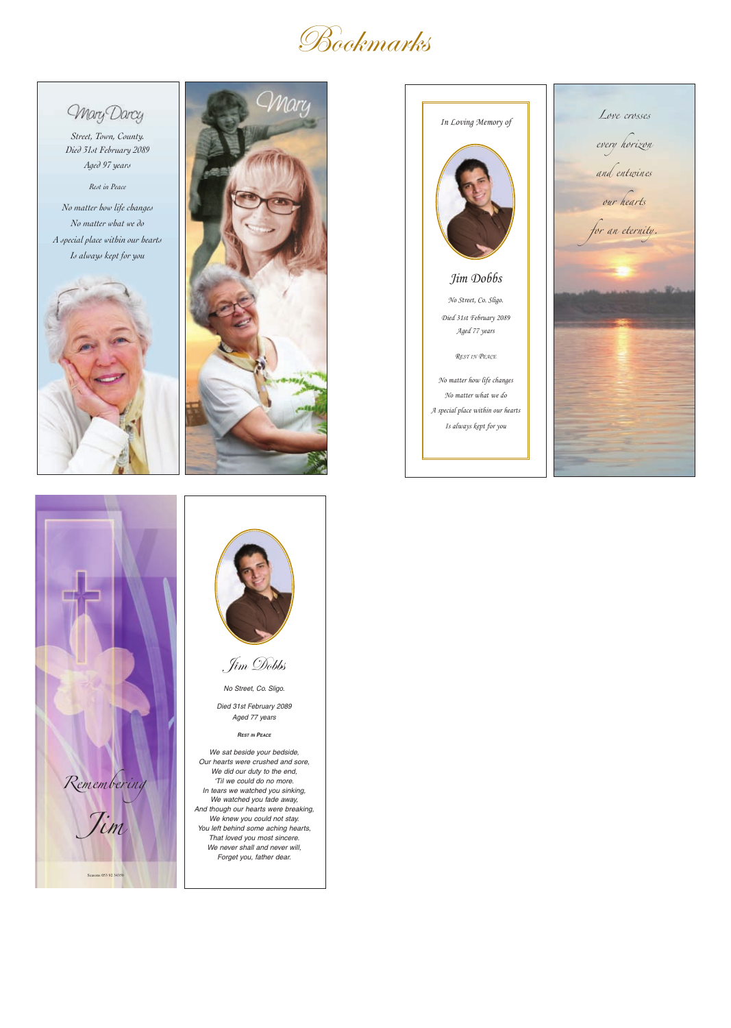## **Bookmarks**

Mary Darcy

*Street, Town, County. Died 31st February 2089 Aged 97 years*

*Rest in Peace*

*No matter how life changes No matter what we do A special place within our hearts Is always kept for you*















No Street, Co. Sligo.

Died 31st February 2089 Aged 77 years

#### **REST IN PEACE**

We sat beside your bedside, Our hearts were crushed and sore, We did our duty to the end, 'Til we could do no more. In tears we watched you sinking, We watched you fade away, And though our hearts were breaking, We knew you could not stay. You left behind some aching hearts, That loved you most sincere. We never shall and never will, Forget you, father dear.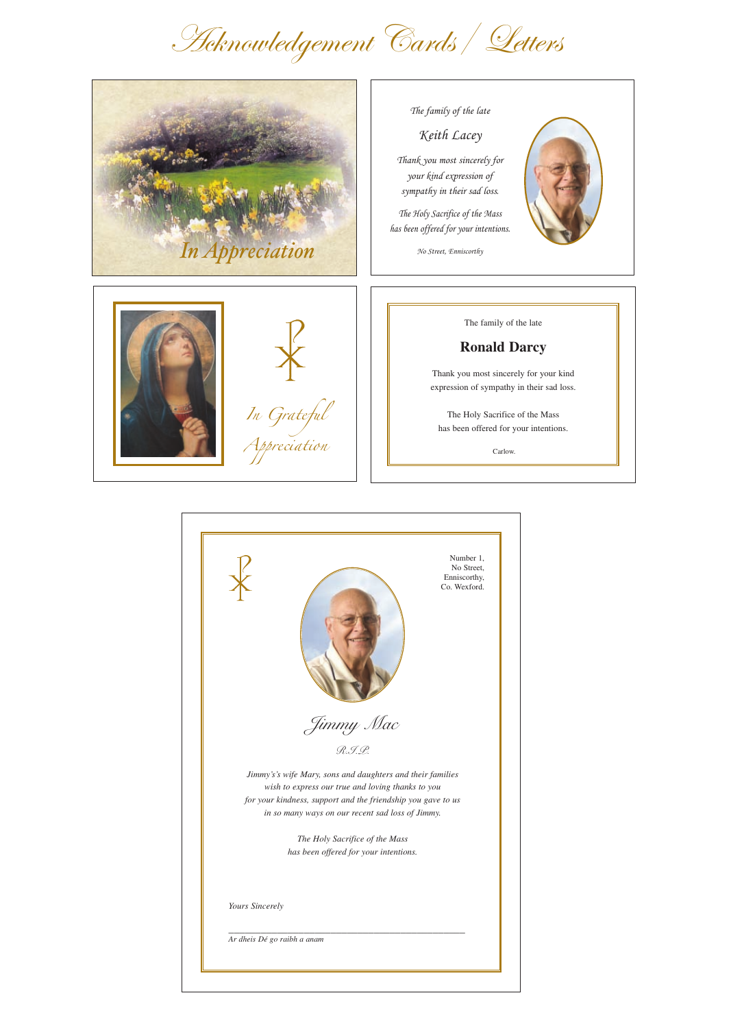



No Street, Enniscorthy





The family of the late

## **Ronald Darcy**

Thank you most sincerely for your kind expression of sympathy in their sad loss.

The Holy Sacrifice of the Mass has been offered for your intentions.

Carlow.

# Acknowledgement Cards/ Letters





### R.I.P.

*Jimmy's's wife Mary, sons and daughters and their families wish to express our true and loving thanks to you for your kindness, support and the friendship you gave to us in so many ways on our recent sad loss of Jimmy.*

> *The Holy Sacrifice of the Mass has been offered for your intentions.*

*Yours Sincerely*

\_\_\_\_\_\_\_\_\_\_\_\_\_\_\_\_\_\_\_\_\_\_\_\_\_\_\_\_\_\_\_\_\_\_\_\_\_\_\_\_\_\_\_\_

*Ar dheis Dé go raibh a anam*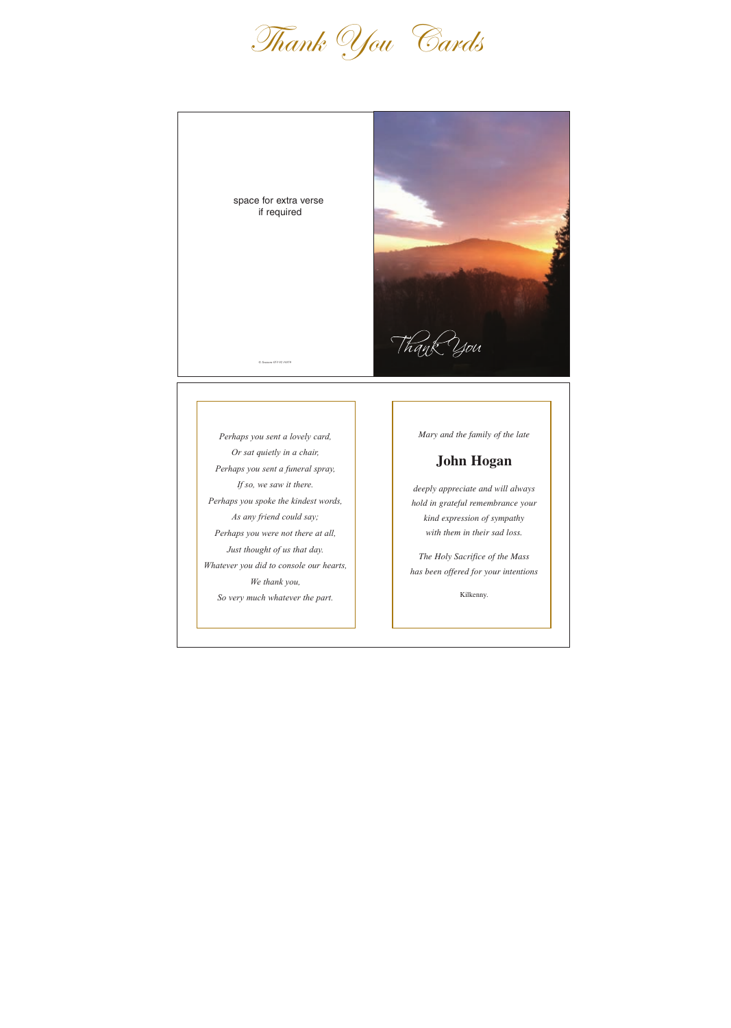